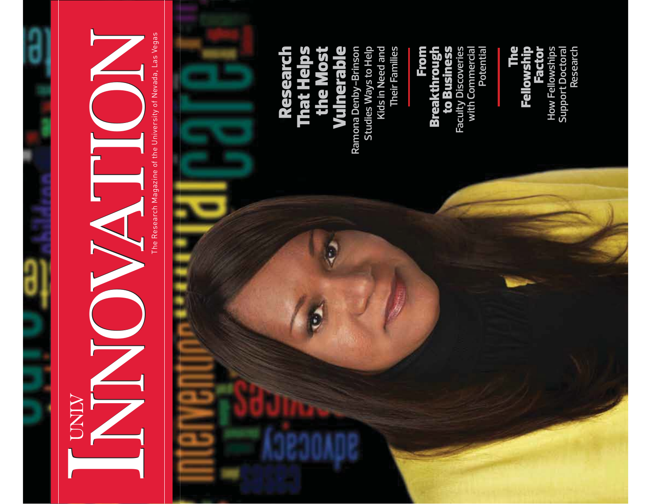## INNOVATION

The Research Magazine of the University of Nevada, Las Vegas

## **Ramona Denby-Brinson Studies Ways to Help Kids in Need and**  Ramona Denby-Brinson<br>Studies Ways to Help Kids in Need and **Vuinerable** the Mo Resea<br>That He

**Their Families** 

Their Families

From<br>Breakthrough to Business **Faculty Discoveries with Commercial** 

ity Discoveries<br>ith Commercial<br>Potential

The<br>Fellowship **Factor** How Fellowships<br>Support Doctoral **How Fellowships Support Doctoral** 

**Research**